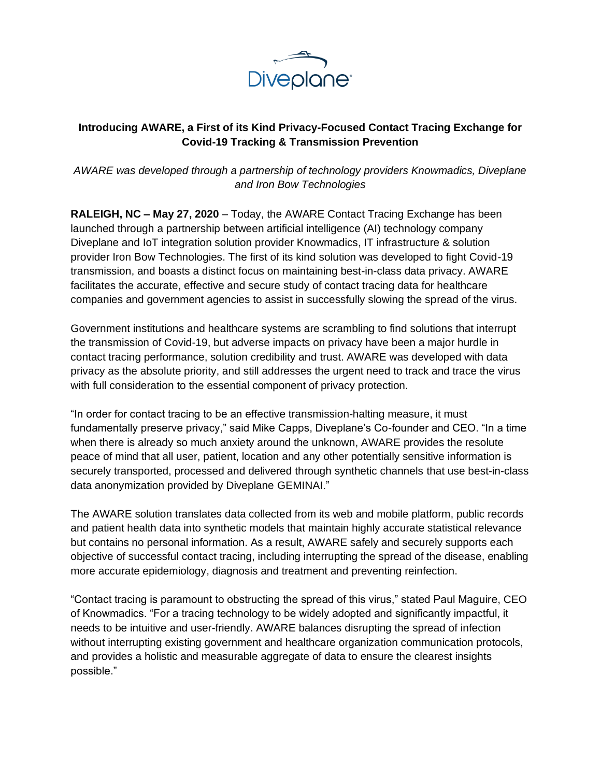

## **Introducing AWARE, a First of its Kind Privacy-Focused Contact Tracing Exchange for Covid-19 Tracking & Transmission Prevention**

*AWARE was developed through a partnership of technology providers Knowmadics, Diveplane and Iron Bow Technologies* 

**RALEIGH, NC – May 27, 2020** [–](http://www.brave.com/) Today, the AWARE Contact Tracing Exchange has been launched through a partnership between artificial intelligence (AI) technology company Diveplane and IoT integration solution provider Knowmadics, IT infrastructure & solution provider Iron Bow Technologies. The first of its kind solution was developed to fight Covid-19 transmission, and boasts a distinct focus on maintaining best-in-class data privacy. AWARE facilitates the accurate, effective and secure study of contact tracing data for healthcare companies and government agencies to assist in successfully slowing the spread of the virus.

Government institutions and healthcare systems are scrambling to find solutions that interrupt the transmission of Covid-19, but adverse impacts on privacy have been a major hurdle in contact tracing performance, solution credibility and trust. AWARE was developed with data privacy as the absolute priority, and still addresses the urgent need to track and trace the virus with full consideration to the essential component of privacy protection.

"In order for contact tracing to be an effective transmission-halting measure, it must fundamentally preserve privacy," said Mike Capps, Diveplane's Co-founder and CEO. "In a time when there is already so much anxiety around the unknown, AWARE provides the resolute peace of mind that all user, patient, location and any other potentially sensitive information is securely transported, processed and delivered through synthetic channels that use best-in-class data anonymization provided by Diveplane GEMINAI."

The AWARE solution translates data collected from its web and mobile platform, public records and patient health data into synthetic models that maintain highly accurate statistical relevance but contains no personal information. As a result, AWARE safely and securely supports each objective of successful contact tracing, including interrupting the spread of the disease, enabling more accurate epidemiology, diagnosis and treatment and preventing reinfection.

"Contact tracing is paramount to obstructing the spread of this virus," stated Paul Maguire, CEO of Knowmadics. "For a tracing technology to be widely adopted and significantly impactful, it needs to be intuitive and user-friendly. AWARE balances disrupting the spread of infection without interrupting existing government and healthcare organization communication protocols, and provides a holistic and measurable aggregate of data to ensure the clearest insights possible."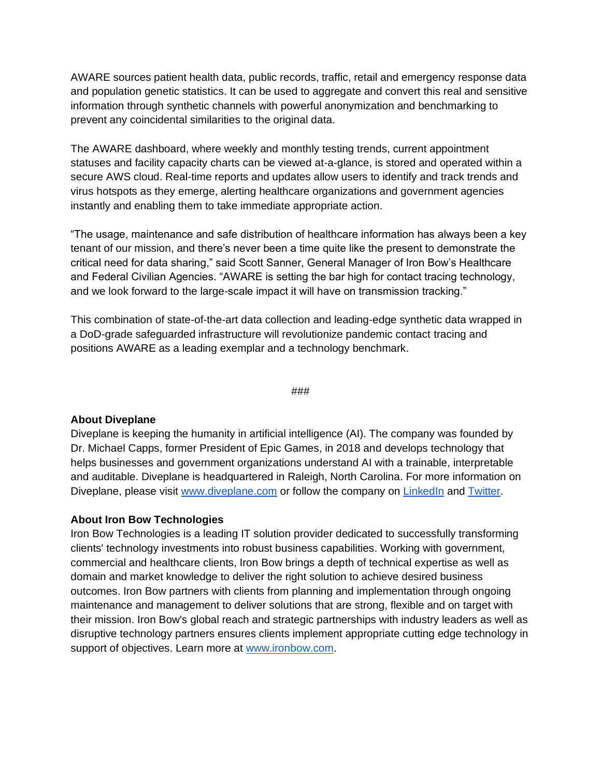AWARE sources patient health data, public records, traffic, retail and emergency response data and population genetic statistics. It can be used to aggregate and convert this real and sensitive information through synthetic channels with powerful anonymization and benchmarking to prevent any coincidental similarities to the original data.

The AWARE dashboard, where weekly and monthly testing trends, current appointment statuses and facility capacity charts can be viewed at-a-glance, is stored and operated within a secure AWS cloud. Real-time reports and updates allow users to identify and track trends and virus hotspots as they emerge, alerting healthcare organizations and government agencies instantly and enabling them to take immediate appropriate action.

"The usage, maintenance and safe distribution of healthcare information has always been a key tenant of our mission, and there's never been a time quite like the present to demonstrate the critical need for data sharing," said Scott Sanner, General Manager of Iron Bow's Healthcare and Federal Civilian Agencies. "AWARE is setting the bar high for contact tracing technology, and we look forward to the large-scale impact it will have on transmission tracking."

This combination of state-of-the-art data collection and leading-edge synthetic data wrapped in a DoD-grade safeguarded infrastructure will revolutionize pandemic contact tracing and positions AWARE as a leading exemplar and a technology benchmark.

###

## **About Diveplane**

Diveplane is keeping the humanity in artificial intelligence (AI). The company was founded by Dr. Michael Capps, former President of Epic Games, in 2018 and develops technology that helps businesses and government organizations understand AI with a trainable, interpretable and auditable. Diveplane is headquartered in Raleigh, North Carolina. For more information on Diveplane, please visit [www.diveplane.com](https://www.diveplane.com/) or follow the company on [LinkedIn](https://www.linkedin.com/company/diveplane/) and [Twitter.](https://twitter.com/DiveplaneAI)

## **About Iron Bow Technologies**

Iron Bow Technologies is a leading IT solution provider dedicated to successfully transforming clients' technology investments into robust business capabilities. Working with government, commercial and healthcare clients, Iron Bow brings a depth of technical expertise as well as domain and market knowledge to deliver the right solution to achieve desired business outcomes. Iron Bow partners with clients from planning and implementation through ongoing maintenance and management to deliver solutions that are strong, flexible and on target with their mission. Iron Bow's global reach and strategic partnerships with industry leaders as well as disruptive technology partners ensures clients implement appropriate cutting edge technology in support of objectives. Learn more at [www.ironbow.com.](http://www.ironbow.com/)